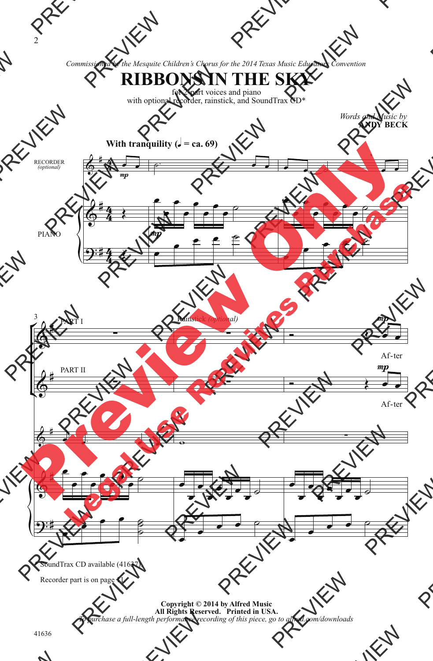*Commissioned by the Mesquite Children's Chorus for the 2014 Texas Music Educators Convention*



for 2-part voices and piano with optional recorder, rainstick, and SoundTrax CD\*

> *Words and Music by* **ANDY BECK**



\* SoundTrax CD available (41637).

Recorder part is on page 11.

**Copyright © 2014 by Alfred Music All Rights Reserved. Printed in USA.** *To purchase a full-length performance recording of this piece, go to alfred.com/downloads*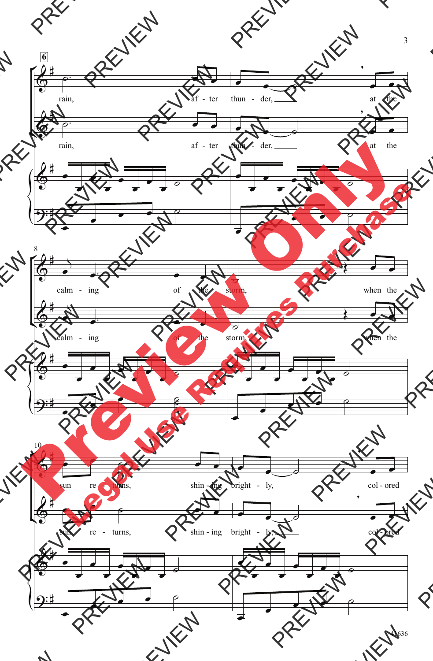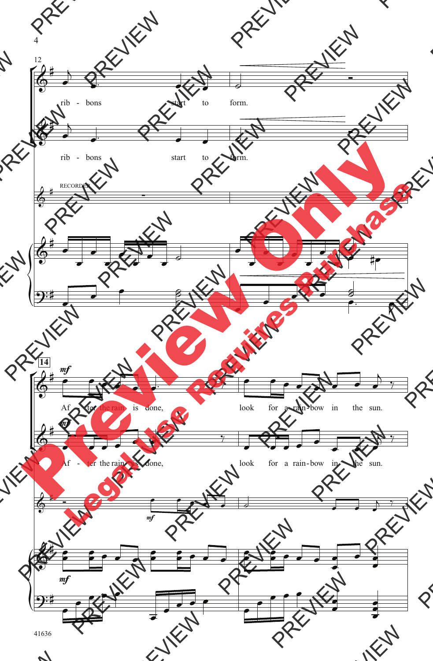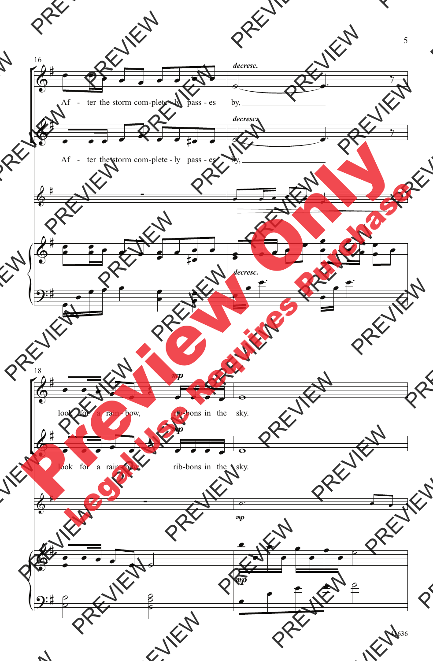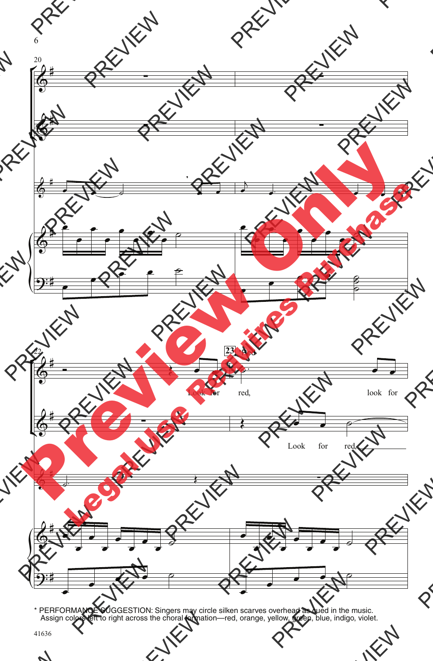

\* PERFORMANCE SUGGESTION: Singers may circle silken scarves overhead as cued in the music. Assign colors left to right across the choral formation—red, orange, yellow, green, blue, indigo, violet.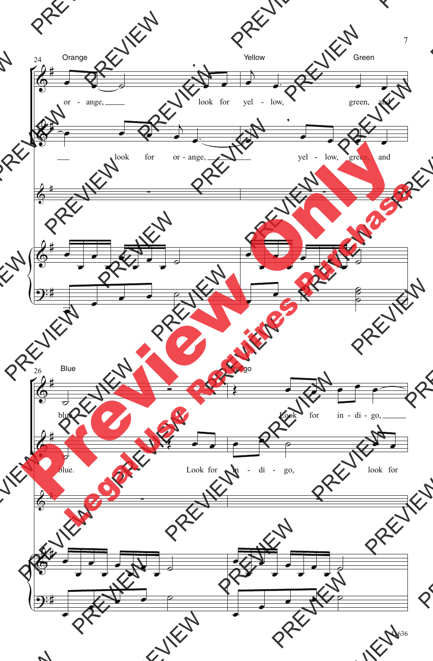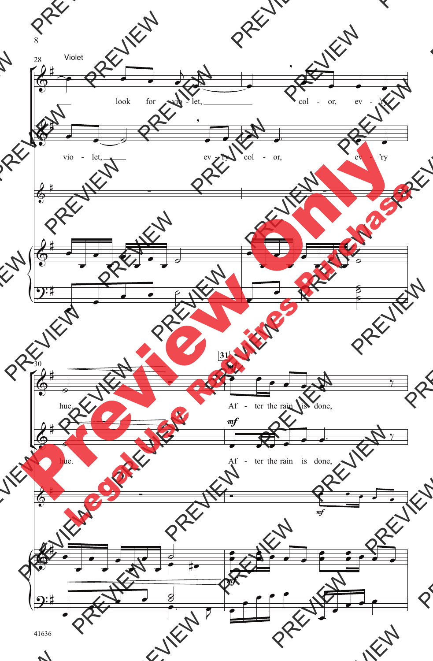8

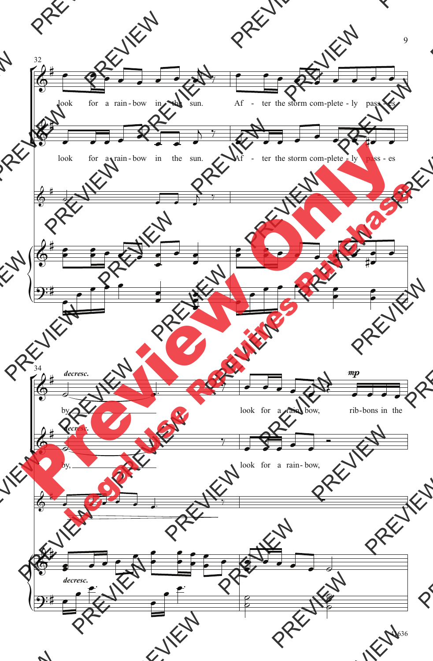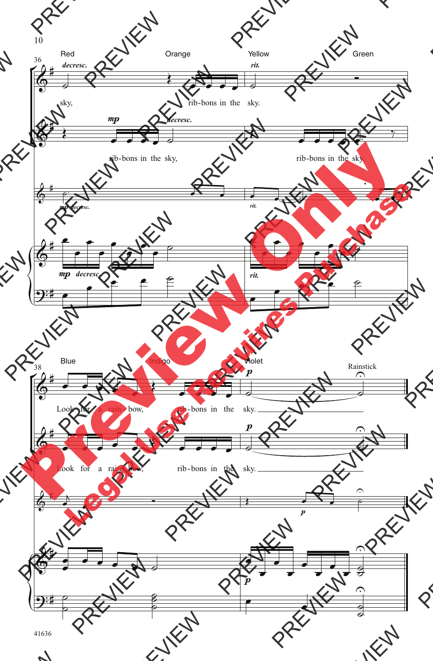